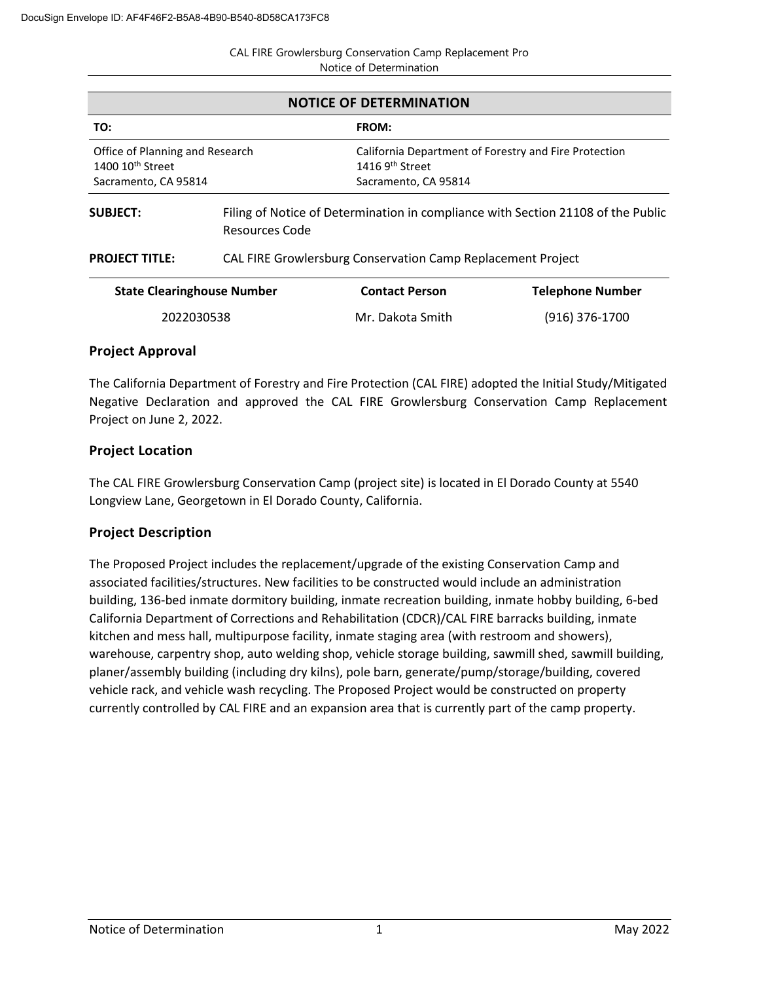| <b>CAL FIRE Growlersburg Conservation Camp Replacement Pro</b> |
|----------------------------------------------------------------|
| Notice of Determination                                        |

| <b>NOTICE OF DETERMINATION</b>                                                          |                                                                                                    |                                                     |                                                       |  |
|-----------------------------------------------------------------------------------------|----------------------------------------------------------------------------------------------------|-----------------------------------------------------|-------------------------------------------------------|--|
| TO:                                                                                     |                                                                                                    | <b>FROM:</b>                                        |                                                       |  |
| Office of Planning and Research<br>1400 10 <sup>th</sup> Street<br>Sacramento, CA 95814 |                                                                                                    | 1416 9 <sup>th</sup> Street<br>Sacramento, CA 95814 | California Department of Forestry and Fire Protection |  |
| <b>SUBJECT:</b>                                                                         | Filing of Notice of Determination in compliance with Section 21108 of the Public<br>Resources Code |                                                     |                                                       |  |
| <b>PROJECT TITLE:</b>                                                                   | CAL FIRE Growlersburg Conservation Camp Replacement Project                                        |                                                     |                                                       |  |
| <b>State Clearinghouse Number</b>                                                       |                                                                                                    | <b>Contact Person</b>                               | <b>Telephone Number</b>                               |  |

## **Project Approval**

The California Department of Forestry and Fire Protection (CAL FIRE) adopted the Initial Study/Mitigated Negative Declaration and approved the CAL FIRE Growlersburg Conservation Camp Replacement Project on June 2, 2022.

2022030538 Mr. Dakota Smith (916) 376-1700

## **Project Location**

The CAL FIRE Growlersburg Conservation Camp (project site) is located in El Dorado County at 5540 Longview Lane, Georgetown in El Dorado County, California.

## **Project Description**

The Proposed Project includes the replacement/upgrade of the existing Conservation Camp and associated facilities/structures. New facilities to be constructed would include an administration building, 136-bed inmate dormitory building, inmate recreation building, inmate hobby building, 6-bed California Department of Corrections and Rehabilitation (CDCR)/CAL FIRE barracks building, inmate kitchen and mess hall, multipurpose facility, inmate staging area (with restroom and showers), warehouse, carpentry shop, auto welding shop, vehicle storage building, sawmill shed, sawmill building, planer/assembly building (including dry kilns), pole barn, generate/pump/storage/building, covered vehicle rack, and vehicle wash recycling. The Proposed Project would be constructed on property currently controlled by CAL FIRE and an expansion area that is currently part of the camp property.